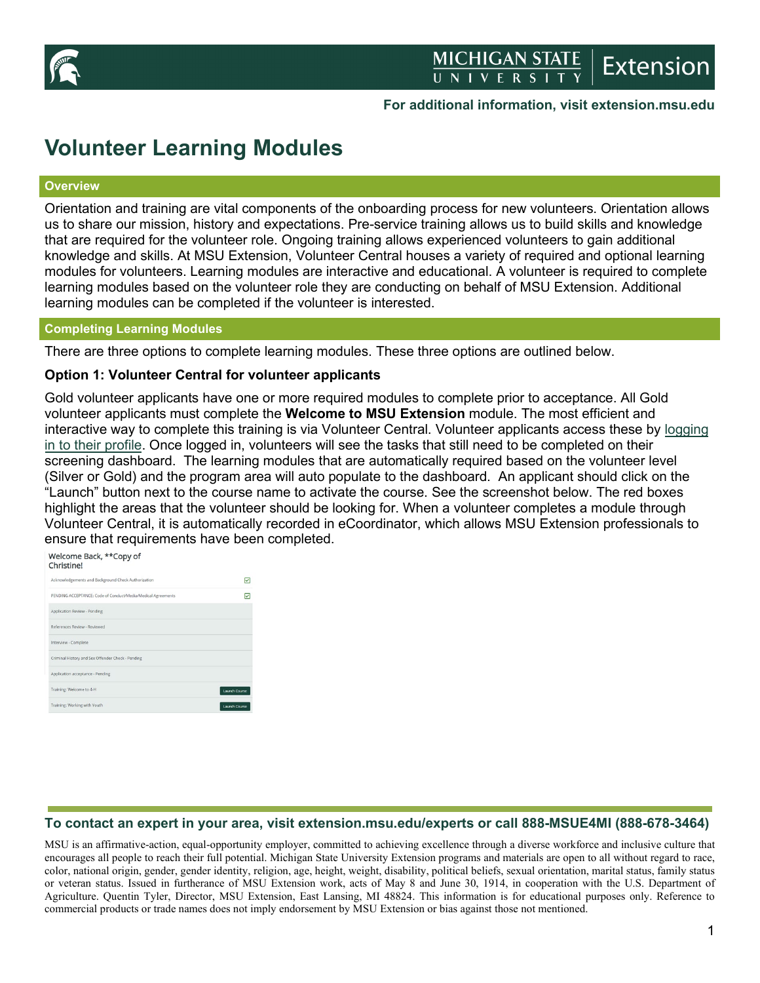

# **For additional information, visit extension.msu.edu**

# **Volunteer Learning Modules**

#### **Overview**

Orientation and training are vital components of the onboarding process for new volunteers. Orientation allows us to share our mission, history and expectations. Pre-service training allows us to build skills and knowledge that are required for the volunteer role. Ongoing training allows experienced volunteers to gain additional knowledge and skills. At MSU Extension, Volunteer Central houses a variety of required and optional learning modules for volunteers. Learning modules are interactive and educational. A volunteer is required to complete learning modules based on the volunteer role they are conducting on behalf of MSU Extension. Additional learning modules can be completed if the volunteer is interested.

## **Completing Learning Modules**

There are three options to complete learning modules. These three options are outlined below.

#### **Option 1: Volunteer Central for volunteer applicants**

Gold volunteer applicants have one or more required modules to complete prior to acceptance. All Gold volunteer applicants must complete the **Welcome to MSU Extension** module. The most efficient and interactive way to complete this training is via Volunteer Central. Volunteer applicants access these by [logging](https://msu.samaritan.com/custom/502/volunteer_login)  [in to their profile.](https://msu.samaritan.com/custom/502/volunteer_login) Once logged in, volunteers will see the tasks that still need to be completed on their screening dashboard. The learning modules that are automatically required based on the volunteer level (Silver or Gold) and the program area will auto populate to the dashboard. An applicant should click on the "Launch" button next to the course name to activate the course. See the screenshot below. The red boxes highlight the areas that the volunteer should be looking for. When a volunteer completes a module through Volunteer Central, it is automatically recorded in eCoordinator, which allows MSU Extension professionals to ensure that requirements have been completed.

| Welcome Back, **Copy of<br>Christinel                        |                      |
|--------------------------------------------------------------|----------------------|
| Acknowledgements and Background Check Authorization          | v                    |
| PENDING ACCEPTANCE: Code of Conduct/Media/Medical Agreements | ē                    |
| Application Review - Pending                                 |                      |
| References Review - Reviewed                                 |                      |
| Interview - Complete                                         |                      |
| Criminal History and Sex Offender Check - Pending            |                      |
| Application acceptance - Pending                             |                      |
| Training: Welcome to 4-H                                     | <b>Launch Course</b> |
| Training: Working with Youth                                 | <b>Launch Course</b> |

# **To contact an expert in your area, visit extension.msu.edu/experts or call 888-MSUE4MI (888-678-3464)**

MSU is an affirmative-action, equal-opportunity employer, committed to achieving excellence through a diverse workforce and inclusive culture that encourages all people to reach their full potential. Michigan State University Extension programs and materials are open to all without regard to race, color, national origin, gender, gender identity, religion, age, height, weight, disability, political beliefs, sexual orientation, marital status, family status or veteran status. Issued in furtherance of MSU Extension work, acts of May 8 and June 30, 1914, in cooperation with the U.S. Department of Agriculture. Quentin Tyler, Director, MSU Extension, East Lansing, MI 48824. This information is for educational purposes only. Reference to commercial products or trade names does not imply endorsement by MSU Extension or bias against those not mentioned.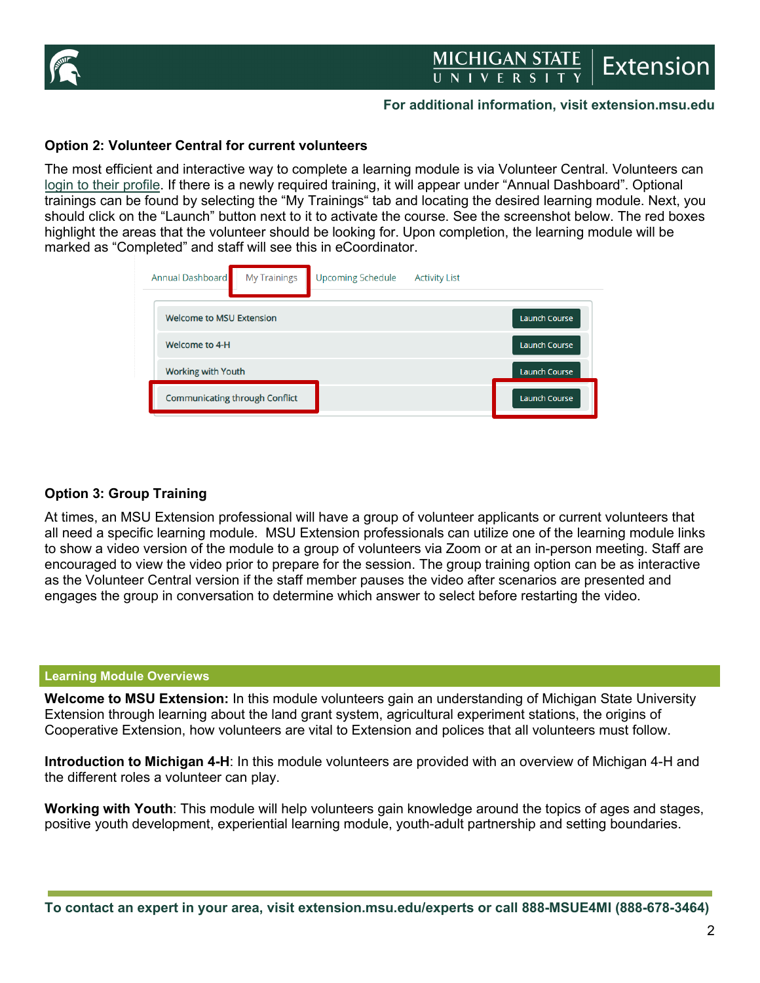

# MICHIGAN STATE **Extension**

## **For additional information, visit extension.msu.edu**

# **Option 2: Volunteer Central for current volunteers**

The most efficient and interactive way to complete a learning module is via Volunteer Central. Volunteers can [login to their profile.](https://msu.samaritan.com/custom/502/volunteer_login) If there is a newly required training, it will appear under "Annual Dashboard". Optional trainings can be found by selecting the "My Trainings" tab and locating the desired learning module. Next, you should click on the "Launch" button next to it to activate the course. See the screenshot below. The red boxes highlight the areas that the volunteer should be looking for. Upon completion, the learning module will be marked as "Completed" and staff will see this in eCoordinator.

| Annual Dashboard<br><b>My Trainings</b> | <b>Upcoming Schedule</b> | <b>Activity List</b> |                      |
|-----------------------------------------|--------------------------|----------------------|----------------------|
| <b>Welcome to MSU Extension</b>         |                          |                      | <b>Launch Course</b> |
| Welcome to 4-H                          |                          |                      | <b>Launch Course</b> |
| <b>Working with Youth</b>               |                          |                      | <b>Launch Course</b> |
| <b>Communicating through Conflict</b>   |                          |                      | Launch Course        |

# **Option 3: Group Training**

At times, an MSU Extension professional will have a group of volunteer applicants or current volunteers that all need a specific learning module. MSU Extension professionals can utilize one of the learning module links to show a video version of the module to a group of volunteers via Zoom or at an in-person meeting. Staff are encouraged to view the video prior to prepare for the session. The group training option can be as interactive as the Volunteer Central version if the staff member pauses the video after scenarios are presented and engages the group in conversation to determine which answer to select before restarting the video.

#### **Learning Module Overviews**

**Welcome to MSU Extension:** In this module volunteers gain an understanding of Michigan State University Extension through learning about the land grant system, agricultural experiment stations, the origins of Cooperative Extension, how volunteers are vital to Extension and polices that all volunteers must follow.

**Introduction to Michigan 4-H**: In this module volunteers are provided with an overview of Michigan 4-H and the different roles a volunteer can play.

**Working with Youth**: This module will help volunteers gain knowledge around the topics of ages and stages, positive youth development, experiential learning module, youth-adult partnership and setting boundaries.